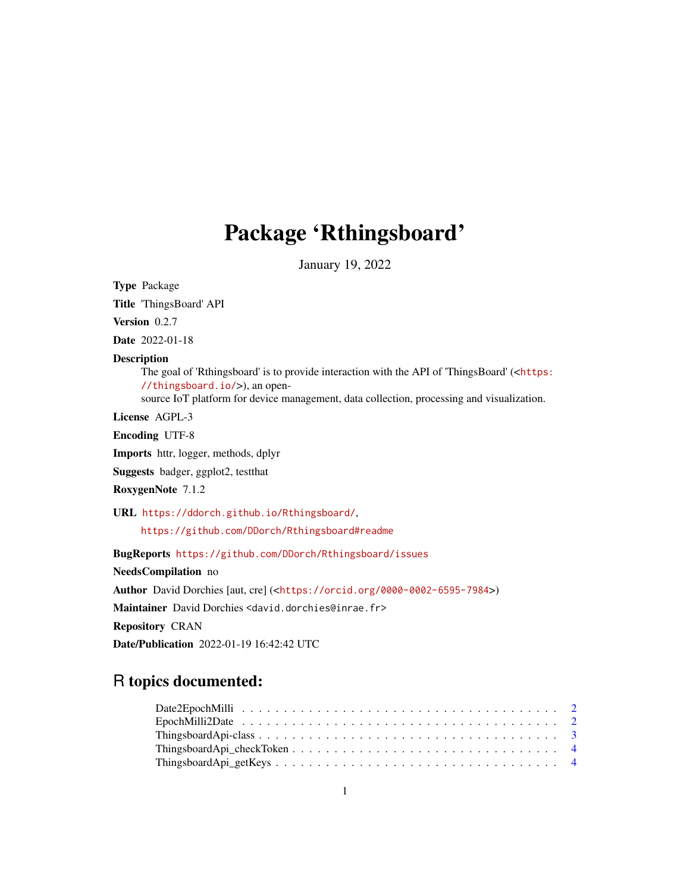# Package 'Rthingsboard'

January 19, 2022

<span id="page-0-0"></span>Type Package

Title 'ThingsBoard' API

Version 0.2.7

Date 2022-01-18

#### Description

The goal of 'Rthingsboard' is to provide interaction with the API of 'ThingsBoard' (<[https:](https://thingsboard.io/) [//thingsboard.io/](https://thingsboard.io/)>), an open-

source IoT platform for device management, data collection, processing and visualization.

License AGPL-3

Encoding UTF-8

Imports httr, logger, methods, dplyr

Suggests badger, ggplot2, testthat

RoxygenNote 7.1.2

URL <https://ddorch.github.io/Rthingsboard/>,

<https://github.com/DDorch/Rthingsboard#readme>

BugReports <https://github.com/DDorch/Rthingsboard/issues>

NeedsCompilation no

Author David Dorchies [aut, cre] (<<https://orcid.org/0000-0002-6595-7984>>)

Maintainer David Dorchies <david.dorchies@inrae.fr>

Repository CRAN

Date/Publication 2022-01-19 16:42:42 UTC

# R topics documented: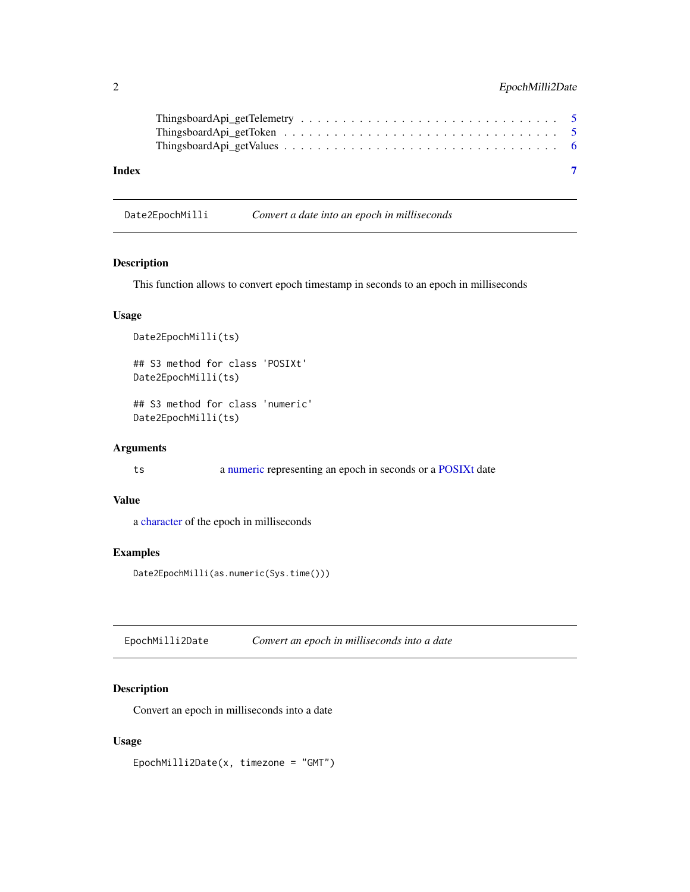#### <span id="page-1-0"></span>2 EpochMilli2Date

| Index |  |
|-------|--|

Date2EpochMilli *Convert a date into an epoch in milliseconds*

#### Description

This function allows to convert epoch timestamp in seconds to an epoch in milliseconds

#### Usage

```
Date2EpochMilli(ts)
## S3 method for class 'POSIXt'
Date2EpochMilli(ts)
## S3 method for class 'numeric'
```
Date2EpochMilli(ts)

#### Arguments

ts a [numeric](#page-0-0) representing an epoch in seconds or a [POSIXt](#page-0-0) date

#### Value

a [character](#page-0-0) of the epoch in milliseconds

#### Examples

Date2EpochMilli(as.numeric(Sys.time()))

EpochMilli2Date *Convert an epoch in milliseconds into a date*

#### Description

Convert an epoch in milliseconds into a date

#### Usage

EpochMilli2Date(x, timezone = "GMT")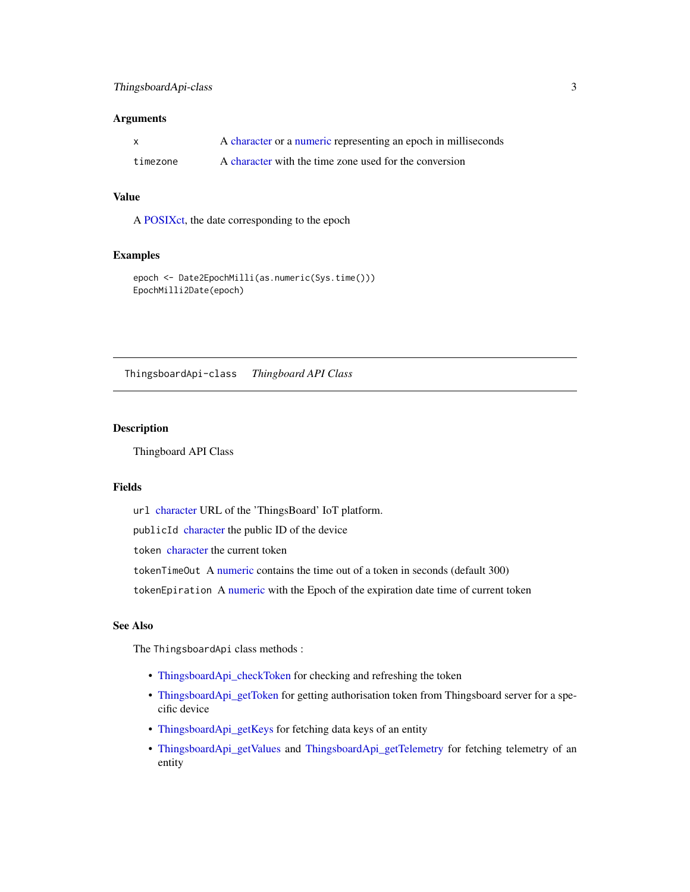#### <span id="page-2-0"></span>ThingsboardApi-class 3

#### Arguments

|          | A character or a numeric representing an epoch in milliseconds |
|----------|----------------------------------------------------------------|
| timezone | A character with the time zone used for the conversion         |

#### Value

A [POSIXct,](#page-0-0) the date corresponding to the epoch

#### Examples

```
epoch <- Date2EpochMilli(as.numeric(Sys.time()))
EpochMilli2Date(epoch)
```
ThingsboardApi-class *Thingboard API Class*

#### <span id="page-2-1"></span>Description

Thingboard API Class

#### Fields

url [character](#page-0-0) URL of the 'ThingsBoard' IoT platform.

publicId [character](#page-0-0) the public ID of the device

token [character](#page-0-0) the current token

tokenTimeOut A [numeric](#page-0-0) contains the time out of a token in seconds (default 300)

tokenEpiration A [numeric](#page-0-0) with the Epoch of the expiration date time of current token

### See Also

The ThingsboardApi class methods :

- [ThingsboardApi\\_checkToken](#page-3-1) for checking and refreshing the token
- [ThingsboardApi\\_getToken](#page-4-1) for getting authorisation token from Thingsboard server for a specific device
- [ThingsboardApi\\_getKeys](#page-3-2) for fetching data keys of an entity
- [ThingsboardApi\\_getValues](#page-5-1) and [ThingsboardApi\\_getTelemetry](#page-4-2) for fetching telemetry of an entity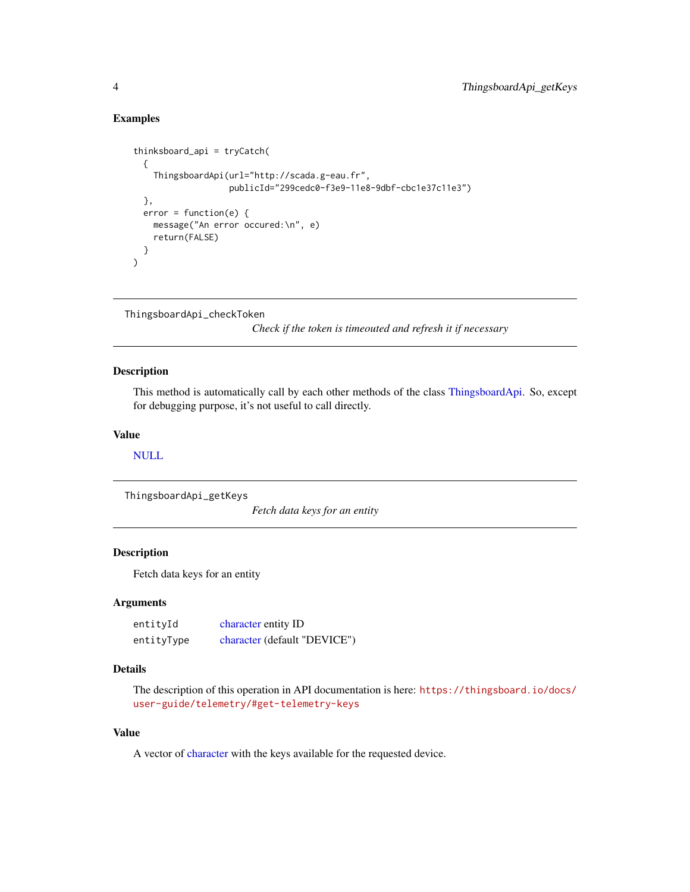#### Examples

```
thinksboard_api = tryCatch(
 {
    ThingsboardApi(url="http://scada.g-eau.fr",
                    publicId="299cedc0-f3e9-11e8-9dbf-cbc1e37c11e3")
 },
 error = function(e) {
   message("An error occured:\n", e)
    return(FALSE)
 }
\mathcal{L}
```
<span id="page-3-1"></span>ThingsboardApi\_checkToken

*Check if the token is timeouted and refresh it if necessary*

#### Description

This method is automatically call by each other methods of the class [ThingsboardApi.](#page-2-1) So, except for debugging purpose, it's not useful to call directly.

#### Value

[NULL](#page-0-0)

<span id="page-3-2"></span>ThingsboardApi\_getKeys

*Fetch data keys for an entity*

#### Description

Fetch data keys for an entity

#### Arguments

entityId [character](#page-0-0) entity ID entityType [character](#page-0-0) (default "DEVICE")

#### Details

The description of this operation in API documentation is here: [https://thingsboard.io/docs/](https://thingsboard.io/docs/user-guide/telemetry/#get-telemetry-keys) [user-guide/telemetry/#get-telemetry-keys](https://thingsboard.io/docs/user-guide/telemetry/#get-telemetry-keys)

#### Value

A vector of [character](#page-0-0) with the keys available for the requested device.

<span id="page-3-0"></span>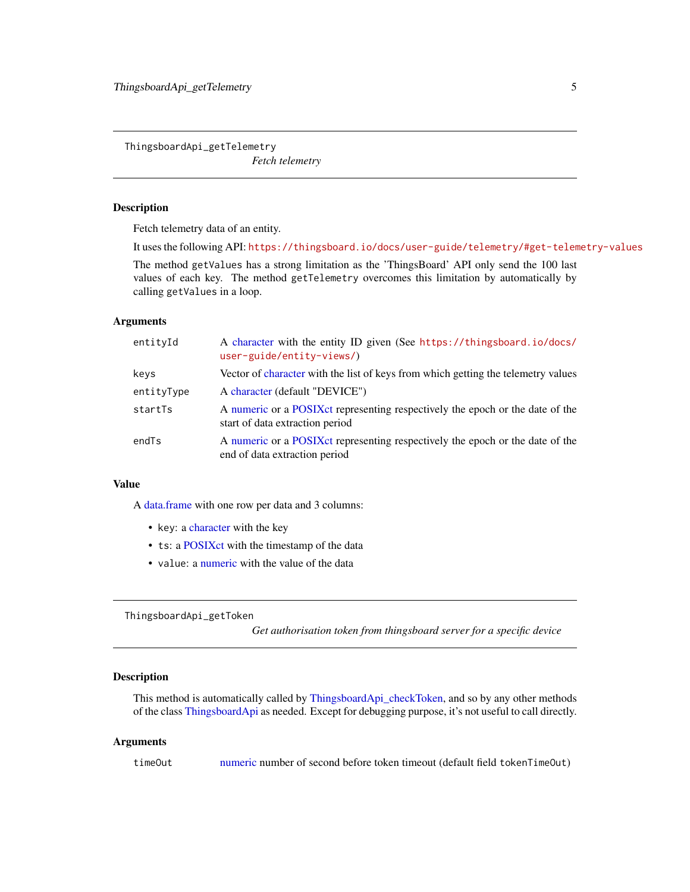<span id="page-4-2"></span><span id="page-4-0"></span>ThingsboardApi\_getTelemetry

*Fetch telemetry*

#### Description

Fetch telemetry data of an entity.

It uses the following API: <https://thingsboard.io/docs/user-guide/telemetry/#get-telemetry-values>

The method getValues has a strong limitation as the 'ThingsBoard' API only send the 100 last values of each key. The method getTelemetry overcomes this limitation by automatically by calling getValues in a loop.

#### Arguments

| entityId   | A character with the entity ID given (See https://thingsboard.io/docs/<br>$user = guide/entity - views/$          |
|------------|-------------------------------------------------------------------------------------------------------------------|
| keys       | Vector of character with the list of keys from which getting the telemetry values                                 |
| entityType | A character (default "DEVICE")                                                                                    |
| startTs    | A numeric or a POSIX et representing respectively the epoch or the date of the<br>start of data extraction period |
| endTs      | A numeric or a POSIX et representing respectively the epoch or the date of the<br>end of data extraction period   |

#### Value

A [data.frame](#page-0-0) with one row per data and 3 columns:

- key: a [character](#page-0-0) with the key
- ts: a [POSIXct](#page-0-0) with the timestamp of the data
- value: a [numeric](#page-0-0) with the value of the data

<span id="page-4-1"></span>ThingsboardApi\_getToken

*Get authorisation token from thingsboard server for a specific device*

#### Description

This method is automatically called by [ThingsboardApi\\_checkToken,](#page-3-1) and so by any other methods of the class [ThingsboardApi](#page-2-1) as needed. Except for debugging purpose, it's not useful to call directly.

#### Arguments

timeOut [numeric](#page-0-0) number of second before token timeout (default field tokenTimeOut)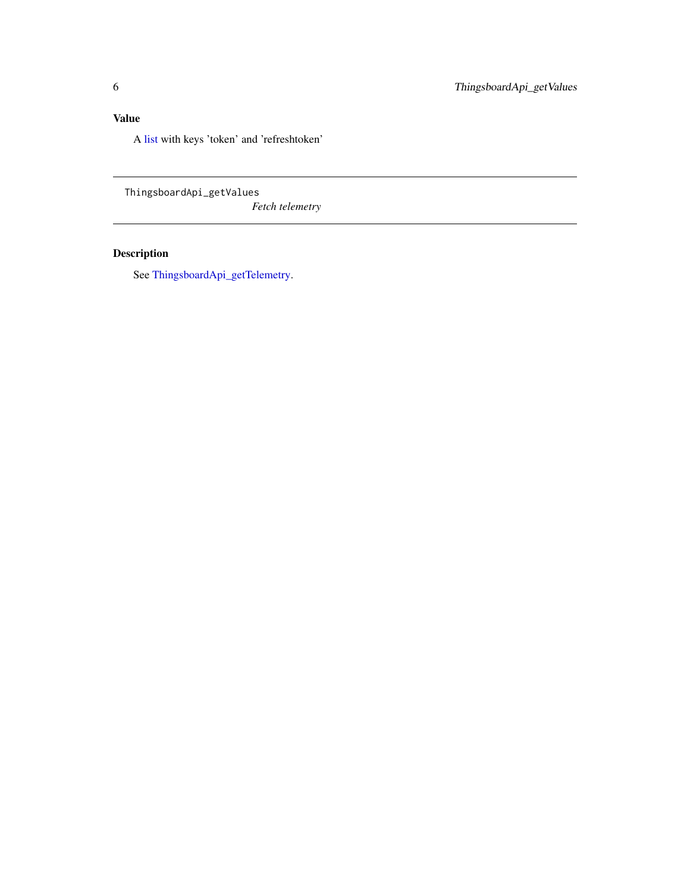# <span id="page-5-0"></span>Value

A [list](#page-0-0) with keys 'token' and 'refreshtoken'

<span id="page-5-1"></span>ThingsboardApi\_getValues *Fetch telemetry*

# Description

See [ThingsboardApi\\_getTelemetry.](#page-4-2)